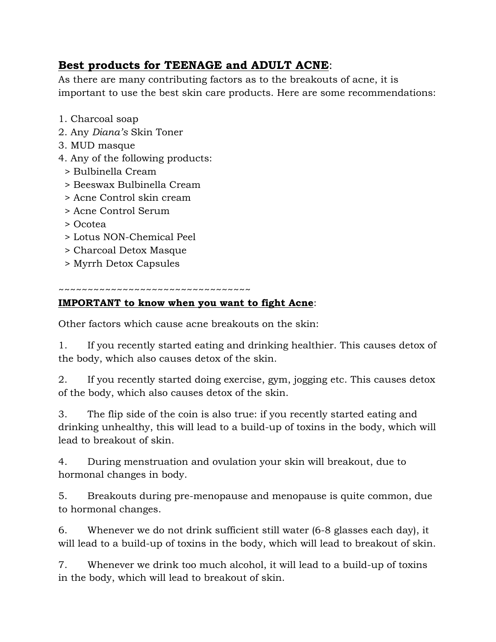## **Best products for TEENAGE and ADULT ACNE**:

As there are many contributing factors as to the breakouts of acne, it is important to use the best skin care products. Here are some recommendations:

- 1. Charcoal soap
- 2. Any *Diana's* Skin Toner
- 3. MUD masque
- 4. Any of the following products:
	- > Bulbinella Cream
	- > Beeswax Bulbinella Cream
	- > Acne Control skin cream
	- > Acne Control Serum
	- > Ocotea
	- > Lotus NON-Chemical Peel
	- > Charcoal Detox Masque
	- > Myrrh Detox Capsules

## ~~~~~~~~~~~~~~~~~~~~~~~~~~~~~~~

## **IMPORTANT to know when you want to fight Acne**:

Other factors which cause acne breakouts on the skin:

1. If you recently started eating and drinking healthier. This causes detox of the body, which also causes detox of the skin.

2. If you recently started doing exercise, gym, jogging etc. This causes detox of the body, which also causes detox of the skin.

3. The flip side of the coin is also true: if you recently started eating and drinking unhealthy, this will lead to a build-up of toxins in the body, which will lead to breakout of skin.

4. During menstruation and ovulation your skin will breakout, due to hormonal changes in body.

5. Breakouts during pre-menopause and menopause is quite common, due to hormonal changes.

6. Whenever we do not drink sufficient still water (6-8 glasses each day), it will lead to a build-up of toxins in the body, which will lead to breakout of skin.

7. Whenever we drink too much alcohol, it will lead to a build-up of toxins in the body, which will lead to breakout of skin.